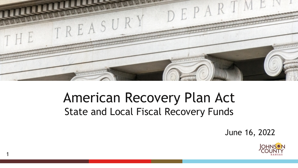

### American Recovery Plan Act State and Local Fiscal Recovery Funds

1

June 16, 2022

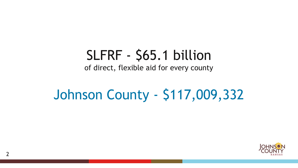## SLFRF - \$65.1 billion

of direct, flexible aid for every county

## Johnson County - \$117,009,332

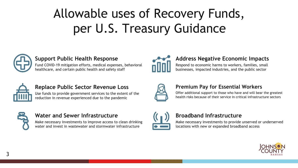## Allowable uses of Recovery Funds, per U.S. Treasury Guidance



### **Support Public Health Response**

Fund COVID-19 mitigation efforts, medical expenses, behavioral healthcare, and certain public health and safety staff



#### **Replace Public Sector Revenue Loss**

Use funds to provide government services to the extent of the reduction in revenue experienced due to the pandemic



#### **Water and Sewer Infrastructure**

Make necessary investments to improve access to clean drinking water and invest in wastewater and stormwater infrastructure



### **Address Negative Economic Impacts**

Respond to economic harms to workers, families, small businesses, impacted industries, and the public sector



#### **Premium Pay for Essential Workers**

Offer additional support to those who have and will bear the greatest health risks because of their service in critical infrastructure sectors



#### **Broadband Infrastructure**

Make necessary investments to provide unserved or underserved locations with new or expanded broadband access

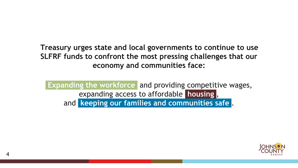**Treasury urges state and local governments to continue to use SLFRF funds to confront the most pressing challenges that our economy and communities face:**

 **Expanding the workforce** and providing competitive wages, expanding access to affordable **housing** , and **keeping our families and communities safe** .

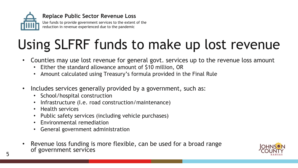

# Using SLFRF funds to make up lost revenue

- Counties may use lost revenue for general govt. services up to the revenue loss amount
	- Either the standard allowance amount of \$10 million, OR
	- Amount calculated using Treasury's formula provided in the Final Rule
- Includes services generally provided by a government, such as:
	- School/hospital construction
	- Infrastructure (I.e. road construction/maintenance)
	- Health services
	- Public safety services (including vehicle purchases)
	- Environmental remediation
	- General government administration
- Revenue loss funding is more flexible, can be used for a broad range of government services

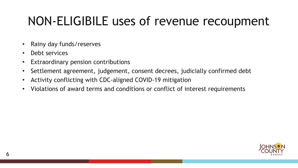### NON-ELIGIBILE uses of revenue recoupment

- Rainy day funds/reserves
- Debt services
- Extraordinary pension contributions
- Settlement agreement, judgement, consent decrees, judicially confirmed debt
- Activity conflicting with CDC-aligned COVID-19 mitigation
- Violations of award terms and conditions or conflict of interest requirements

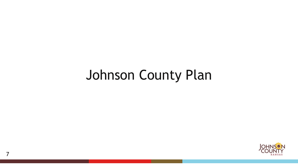## Johnson County Plan

7

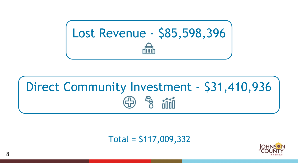

# Direct Community Investment - \$31,410,936

Total = \$117,009,332

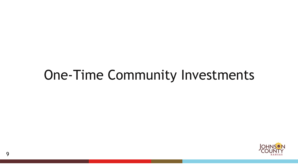## One-Time Community Investments

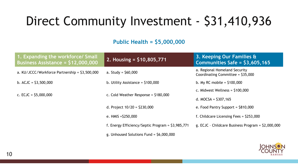### Direct Community Investment - \$31,410,936

### **Public Health = \$5,000,000**

| 1. Expanding the workforce/ Small<br>Business Assistance = $$12,000,000$ | 2. Housing = $$10,805,771$                        | 3. Keeping Our Families &<br>Communities Safe = $$3,605,165$        |
|--------------------------------------------------------------------------|---------------------------------------------------|---------------------------------------------------------------------|
| a. $KU/JCCC/Workforce$ Partnership = $$3,500,000$                        | a. Study = $$60,000$                              | a. Regional Homeland Security<br>Coordinating Committee = $$35,000$ |
| b. $ACJC = $3,500,000$                                                   | b. Utility Assistance = $$100,000$                | b. My RC mobile = $$100,000$                                        |
| c. ECJC = $$5,000,000$                                                   | c. Cold Weather Response = $$180,000$             | c. Midwest Wellness = $$100,000$                                    |
|                                                                          |                                                   | d. MOCSA = $$307,165$                                               |
|                                                                          | d. Project $10/20 = $230,000$                     | e. Food Pantry Support = $$810,000$                                 |
|                                                                          | e. HMIS $=$ \$250,000                             | f. Childcare Licensing Fees = $$253,000$                            |
|                                                                          | f. Energy Efficiency/Septic Program = \$3,985,771 | g. ECJC - Childcare Business Program = $$2,000,000$                 |
|                                                                          | g. Unhoused Solutions Fund = $$6,000,000$         |                                                                     |

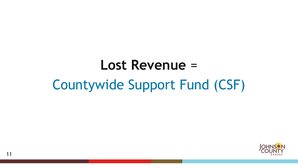# **Lost Revenue** = Countywide Support Fund (CSF)

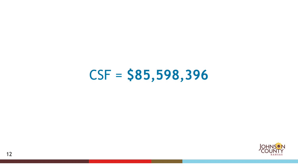

# CSF = **\$85,598,396**